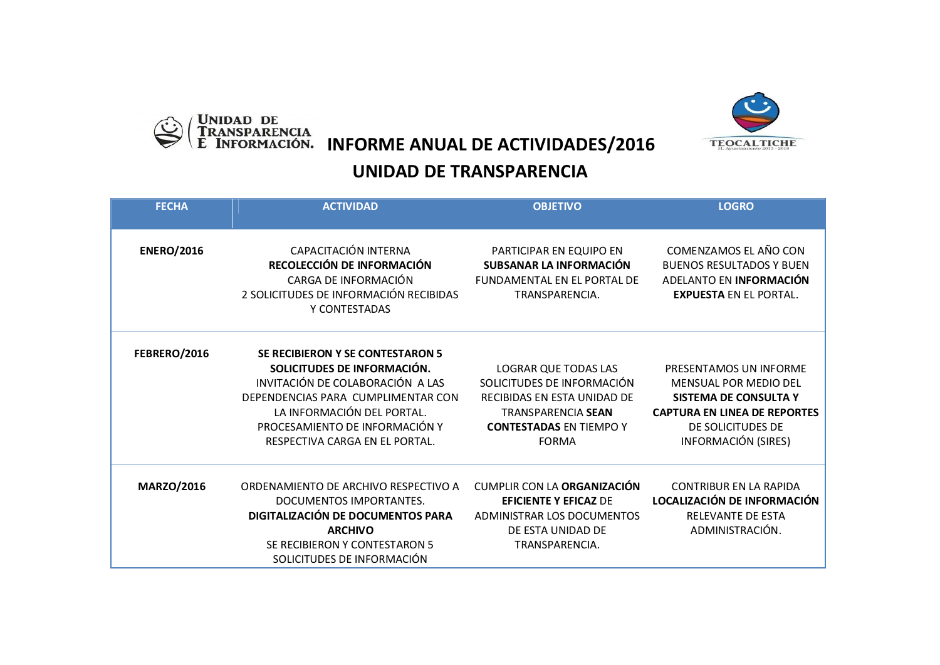

UNIDAD DE<br>TRANSPARENCIA<br>E INFORMACIÓN. **INFORME ANUAL DE ACTIVIDADES/2016** 

## **UNIDAD DE TRANSPARENCIA**

| <b>FECHA</b>      | <b>ACTIVIDAD</b>                                                                                                                                                                                                                                   | <b>OBJETIVO</b>                                                                                                                                                  | <b>LOGRO</b>                                                                                                                                                                     |
|-------------------|----------------------------------------------------------------------------------------------------------------------------------------------------------------------------------------------------------------------------------------------------|------------------------------------------------------------------------------------------------------------------------------------------------------------------|----------------------------------------------------------------------------------------------------------------------------------------------------------------------------------|
|                   |                                                                                                                                                                                                                                                    |                                                                                                                                                                  |                                                                                                                                                                                  |
| <b>ENERO/2016</b> | CAPACITACIÓN INTERNA<br>RECOLECCIÓN DE INFORMACIÓN<br>CARGA DE INFORMACIÓN<br>2 SOLICITUDES DE INFORMACIÓN RECIBIDAS<br>Y CONTESTADAS                                                                                                              | PARTICIPAR EN EQUIPO EN<br>SUBSANAR LA INFORMACIÓN<br><b>FUNDAMENTAL EN EL PORTAL DE</b><br>TRANSPARENCIA.                                                       | COMENZAMOS EL AÑO CON<br><b>BUENOS RESULTADOS Y BUEN</b><br>ADELANTO EN INFORMACIÓN<br><b>EXPUESTA EN EL PORTAL.</b>                                                             |
| FEBRERO/2016      | <b>SE RECIBIERON Y SE CONTESTARON 5</b><br>SOLICITUDES DE INFORMACIÓN.<br>INVITACIÓN DE COLABORACIÓN A LAS<br>DEPENDENCIAS PARA CUMPLIMENTAR CON<br>LA INFORMACIÓN DEL PORTAL.<br>PROCESAMIENTO DE INFORMACIÓN Y<br>RESPECTIVA CARGA EN EL PORTAL. | LOGRAR QUE TODAS LAS<br>SOLICITUDES DE INFORMACIÓN<br>RECIBIDAS EN ESTA UNIDAD DE<br><b>TRANSPARENCIA SEAN</b><br><b>CONTESTADAS EN TIEMPO Y</b><br><b>FORMA</b> | PRESENTAMOS UN INFORME<br><b>MENSUAL POR MEDIO DEL</b><br><b>SISTEMA DE CONSULTA Y</b><br><b>CAPTURA EN LINEA DE REPORTES</b><br>DE SOLICITUDES DE<br><b>INFORMACIÓN (SIRES)</b> |
| <b>MARZO/2016</b> | ORDENAMIENTO DE ARCHIVO RESPECTIVO A<br>DOCUMENTOS IMPORTANTES.<br>DIGITALIZACIÓN DE DOCUMENTOS PARA<br><b>ARCHIVO</b><br>SE RECIBIERON Y CONTESTARON 5<br>SOLICITUDES DE INFORMACIÓN                                                              | <b>CUMPLIR CON LA ORGANIZACIÓN</b><br><b>EFICIENTE Y EFICAZ DE</b><br>ADMINISTRAR LOS DOCUMENTOS<br>DE ESTA UNIDAD DE<br>TRANSPARENCIA.                          | <b>CONTRIBUR EN LA RAPIDA</b><br>LOCALIZACIÓN DE INFORMACIÓN<br>RELEVANTE DE ESTA<br>ADMINISTRACIÓN.                                                                             |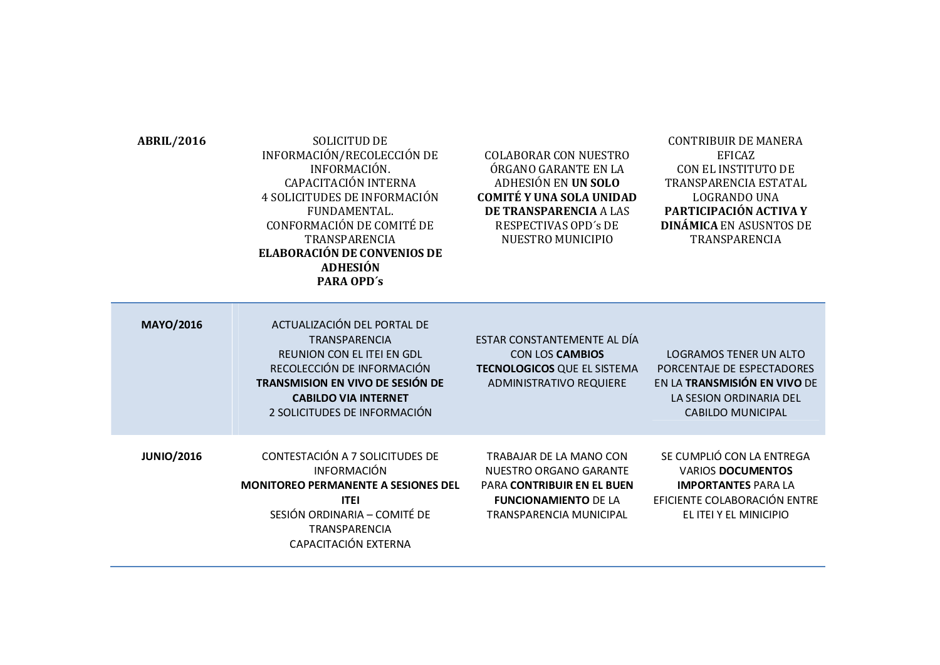| ABRIL/2016 | <b>SOLICITUD DE</b>                |  |
|------------|------------------------------------|--|
|            | INFORMACIÓN/RECOLECCIÓN DE         |  |
|            | INFORMACIÓN.                       |  |
|            | CAPACITACIÓN INTERNA               |  |
|            | 4 SOLICITUDES DE INFORMACIÓN       |  |
|            | FUNDAMENTAL.                       |  |
|            | CONFORMACIÓN DE COMITÉ DE          |  |
|            | TRANSPARENCIA                      |  |
|            | <b>ELABORACIÓN DE CONVENIOS DE</b> |  |
|            | <b>ADHESIÓN</b>                    |  |
|            | <b>PARA OPD's</b>                  |  |
|            |                                    |  |

COLABORAR CON NUESTRO ÓRGANO GARANTE EN LA ADHESIÓN EN **UN SOLO COMITÉ Y UNA SOLA UNIDAD DE TRANSPARENCIA** A LAS RESPECTIVAS OPD´s DE NUESTRO MUNICIPIO

## CONTRIBUIR DE MANERA EFICAZ CON EL INSTITUTO DE TRANSPARENCIA ESTATAL LOGRANDO UNA **PARTICIPACIÓN ACTIVA Y DINÁMICA** EN ASUSNTOS DE TRANSPARENCIA

| <b>MAYO/2016</b>  | ACTUALIZACIÓN DEL PORTAL DE<br><b>TRANSPARENCIA</b><br>REUNION CON EL ITEI EN GDL<br>RECOLECCIÓN DE INFORMACIÓN<br><b>TRANSMISION EN VIVO DE SESIÓN DE</b><br><b>CABILDO VIA INTERNET</b><br>2 SOLICITUDES DE INFORMACIÓN | ESTAR CONSTANTEMENTE AL DÍA<br><b>CON LOS CAMBIOS</b><br><b>TECNOLOGICOS QUE EL SISTEMA</b><br><b>ADMINISTRATIVO REQUIERE</b>                    | LOGRAMOS TENER UN ALTO<br>PORCENTAJE DE ESPECTADORES<br>EN LA TRANSMISIÓN EN VIVO DE<br>LA SESION ORDINARIA DEL<br><b>CABILDO MUNICIPAL</b>   |
|-------------------|---------------------------------------------------------------------------------------------------------------------------------------------------------------------------------------------------------------------------|--------------------------------------------------------------------------------------------------------------------------------------------------|-----------------------------------------------------------------------------------------------------------------------------------------------|
| <b>JUNIO/2016</b> | CONTESTACIÓN A 7 SOLICITUDES DE<br><b>INFORMACIÓN</b><br><b>MONITOREO PERMANENTE A SESIONES DEL</b><br><b>ITEI</b><br>SESIÓN ORDINARIA - COMITÉ DE<br><b>TRANSPARENCIA</b><br>CAPACITACIÓN EXTERNA                        | TRABAJAR DE LA MANO CON<br>NUESTRO ORGANO GARANTE<br><b>PARA CONTRIBUIR EN EL BUEN</b><br><b>FUNCIONAMIENTO DE LA</b><br>TRANSPARENCIA MUNICIPAL | SE CUMPLIÓ CON LA ENTREGA<br><b>VARIOS DOCUMENTOS</b><br><b>IMPORTANTES PARA LA</b><br>EFICIENTE COLABORACIÓN ENTRE<br>EL ITEI Y EL MINICIPIO |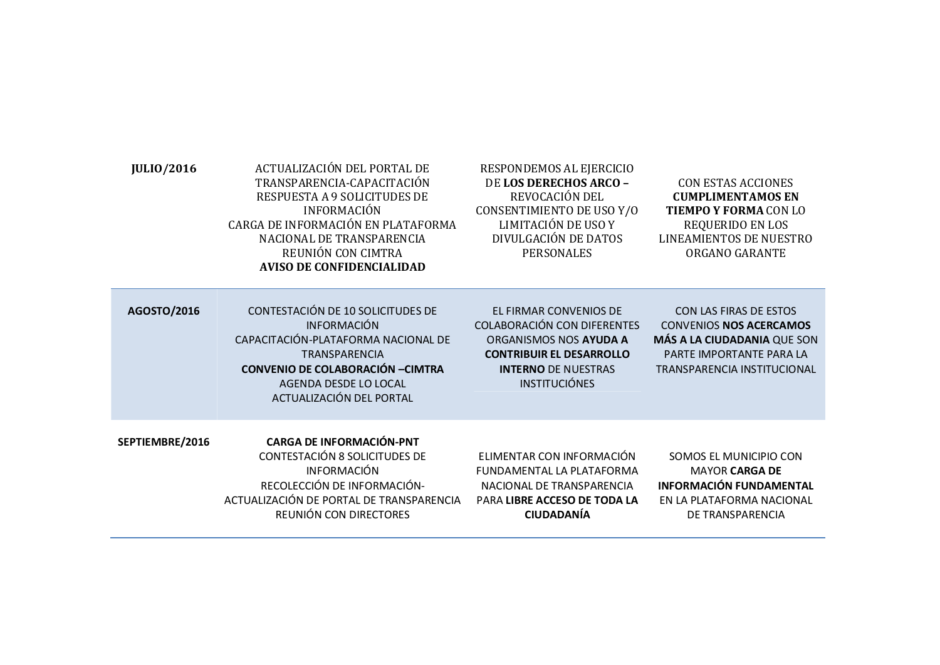| <b>JULIO/2016</b> | ACTUALIZACIÓN DEL PORTAL DE<br>TRANSPARENCIA-CAPACITACIÓN<br>RESPUESTA A 9 SOLICITUDES DE<br><b>INFORMACIÓN</b><br>CARGA DE INFORMACIÓN EN PLATAFORMA<br>NACIONAL DE TRANSPARENCIA<br>REUNIÓN CON CIMTRA<br><b>AVISO DE CONFIDENCIALIDAD</b> | RESPONDEMOS AL EJERCICIO<br>DE LOS DERECHOS ARCO -<br>REVOCACIÓN DEL<br>CONSENTIMIENTO DE USO Y/O<br>LIMITACIÓN DE USO Y<br>DIVULGACIÓN DE DATOS<br><b>PERSONALES</b>           | <b>CON ESTAS ACCIONES</b><br><b>CUMPLIMENTAMOS EN</b><br><b>TIEMPO Y FORMA CON LO</b><br>REQUERIDO EN LOS<br><b>LINEAMIENTOS DE NUESTRO</b><br>ORGANO GARANTE |
|-------------------|----------------------------------------------------------------------------------------------------------------------------------------------------------------------------------------------------------------------------------------------|---------------------------------------------------------------------------------------------------------------------------------------------------------------------------------|---------------------------------------------------------------------------------------------------------------------------------------------------------------|
| AGOSTO/2016       | CONTESTACIÓN DE 10 SOLICITUDES DE<br><b>INFORMACIÓN</b><br>CAPACITACIÓN-PLATAFORMA NACIONAL DE<br><b>TRANSPARENCIA</b><br><b>CONVENIO DE COLABORACIÓN - CIMTRA</b><br>AGENDA DESDE LO LOCAL<br>ACTUALIZACIÓN DEL PORTAL                      | EL FIRMAR CONVENIOS DE<br><b>COLABORACIÓN CON DIFERENTES</b><br>ORGANISMOS NOS AYUDA A<br><b>CONTRIBUIR EL DESARROLLO</b><br><b>INTERNO DE NUESTRAS</b><br><b>INSTITUCIÓNES</b> | CON LAS FIRAS DE ESTOS<br><b>CONVENIOS NOS ACERCAMOS</b><br>MÁS A LA CIUDADANIA QUE SON<br>PARTE IMPORTANTE PARA LA<br>TRANSPARENCIA INSTITUCIONAL            |
| SEPTIEMBRE/2016   | <b>CARGA DE INFORMACIÓN-PNT</b><br>CONTESTACIÓN 8 SOLICITUDES DE<br><b>INFORMACIÓN</b><br>RECOLECCIÓN DE INFORMACIÓN-<br>ACTUALIZACIÓN DE PORTAL DE TRANSPARENCIA<br>REUNIÓN CON DIRECTORES                                                  | ELIMENTAR CON INFORMACIÓN<br><b>FUNDAMENTAL LA PLATAFORMA</b><br>NACIONAL DE TRANSPARENCIA<br>PARA LIBRE ACCESO DE TODA LA<br><b>CIUDADANÍA</b>                                 | SOMOS EL MUNICIPIO CON<br><b>MAYOR CARGA DE</b><br><b>INFORMACIÓN FUNDAMENTAL</b><br>EN LA PLATAFORMA NACIONAL<br>DE TRANSPARENCIA                            |